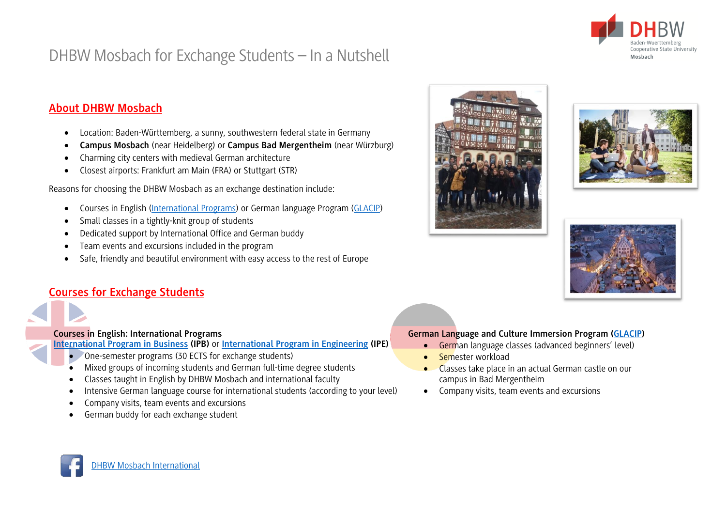

# DHBW Mosbach for Exchange Students – In a Nutshell

## **About DHBW Mosbach**

- Location: Baden-Württemberg, a sunny, southwestern federal state in Germany
- **Campus Mosbach** (near Heidelberg) or **Campus Bad Mergentheim** (near Würzburg)
- Charming city centers with medieval German architecture
- Closest airports: Frankfurt am Main (FRA) or Stuttgart (STR)

Reasons for choosing the DHBW Mosbach as an exchange destination include:

- Courses in English [\(International Programs\)](https://www.mosbach.dhbw.de/international-1/international-programs/#anchor-main-content) or German language Program [\(GLACIP\)](https://www.mosbach.dhbw.de/en/international-office/international/glacip/#anchor-main-content)
- Small classes in a tightly-knit group of students
- Dedicated support by International Office and German buddy
- Team events and excursions included in the program
- Safe, friendly and beautiful environment with easy access to the rest of Europe

## **Courses for Exchange Students**

#### **Courses in English: International Programs**

**[International Program in Business](https://www.mosbach.dhbw.de/studium/studienangebot-bachelor/international-program-in-business/concept) (IPB)** or **[International Program in Engineering](https://www.mosbach.dhbw.de/studium/studienangebot-bachelor/international-program-in-engineering/concept) (IPE)**

- One-semester programs (30 ECTS for exchange students)
- Mixed groups of incoming students and German full-time degree students
- Classes taught in English by DHBW Mosbach and international faculty
- Intensive German language course for international students (according to your level)
- Company visits, team events and excursions
- German buddy for each exchange student







#### **German Language and Culture Immersion Program [\(GLACIP\)](https://www.mosbach.dhbw.de/en/international-office/international/glacip/#anchor-main-content)**

- German language classes (advanced beginners' level)
- Semester workload
- Classes take place in an actual German castle on our campus in Bad Mergentheim
- Company visits, team events and excursions